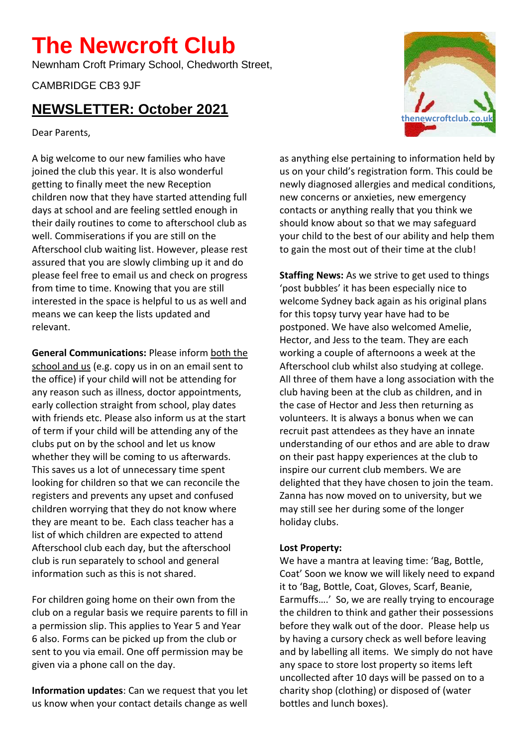## **The Newcroft Club**

Newnham Croft Primary School, Chedworth Street,

CAMBRIDGE CB3 9JF

## **NEWSLETTER: October 2021**

Dear Parents,

A big welcome to our new families who have joined the club this year. It is also wonderful getting to finally meet the new Reception children now that they have started attending full days at school and are feeling settled enough in their daily routines to come to afterschool club as well. Commiserations if you are still on the Afterschool club waiting list. However, please rest assured that you are slowly climbing up it and do please feel free to email us and check on progress from time to time. Knowing that you are still interested in the space is helpful to us as well and means we can keep the lists updated and relevant.

**General Communications:** Please inform both the school and us (e.g. copy us in on an email sent to the office) if your child will not be attending for any reason such as illness, doctor appointments, early collection straight from school, play dates with friends etc. Please also inform us at the start of term if your child will be attending any of the clubs put on by the school and let us know whether they will be coming to us afterwards. This saves us a lot of unnecessary time spent looking for children so that we can reconcile the registers and prevents any upset and confused children worrying that they do not know where they are meant to be. Each class teacher has a list of which children are expected to attend Afterschool club each day, but the afterschool club is run separately to school and general information such as this is not shared.

For children going home on their own from the club on a regular basis we require parents to fill in a permission slip. This applies to Year 5 and Year 6 also. Forms can be picked up from the club or sent to you via email. One off permission may be given via a phone call on the day.

**Information updates**: Can we request that you let us know when your contact details change as well



**Staffing News:** As we strive to get used to things 'post bubbles' it has been especially nice to welcome Sydney back again as his original plans for this topsy turvy year have had to be postponed. We have also welcomed Amelie, Hector, and Jess to the team. They are each working a couple of afternoons a week at the Afterschool club whilst also studying at college. All three of them have a long association with the club having been at the club as children, and in the case of Hector and Jess then returning as volunteers. It is always a bonus when we can recruit past attendees as they have an innate understanding of our ethos and are able to draw on their past happy experiences at the club to inspire our current club members. We are delighted that they have chosen to join the team. Zanna has now moved on to university, but we may still see her during some of the longer holiday clubs.

## **Lost Property:**

We have a mantra at leaving time: 'Bag, Bottle, Coat' Soon we know we will likely need to expand it to 'Bag, Bottle, Coat, Gloves, Scarf, Beanie, Earmuffs….' So, we are really trying to encourage the children to think and gather their possessions before they walk out of the door. Please help us by having a cursory check as well before leaving and by labelling all items. We simply do not have any space to store lost property so items left uncollected after 10 days will be passed on to a charity shop (clothing) or disposed of (water bottles and lunch boxes).